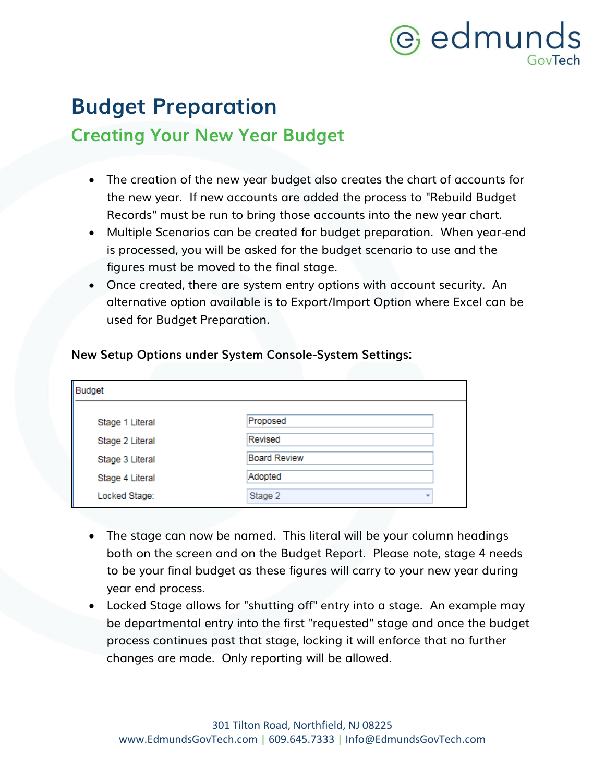## e edmunds

### **Budget Preparation**

### **Creating Your New Year Budget**

- The creation of the new year budget also creates the chart of accounts for the new year. If new accounts are added the process to "Rebuild Budget Records" must be run to bring those accounts into the new year chart.
- Multiple Scenarios can be created for budget preparation. When year-end is processed, you will be asked for the budget scenario to use and the figures must be moved to the final stage.
- Once created, there are system entry options with account security. An alternative option available is to Export/Import Option where Excel can be used for Budget Preparation.

### **New Setup Options under System Console-System Settings:**

| Budget          |                     |
|-----------------|---------------------|
| Stage 1 Literal | Proposed            |
| Stage 2 Literal | Revised             |
| Stage 3 Literal | <b>Board Review</b> |
| Stage 4 Literal | Adopted             |
| Locked Stage:   | Stage 2             |

- The stage can now be named. This literal will be your column headings both on the screen and on the Budget Report. Please note, stage 4 needs to be your final budget as these figures will carry to your new year during year end process.
- Locked Stage allows for "shutting off" entry into a stage. An example may be departmental entry into the first "requested" stage and once the budget process continues past that stage, locking it will enforce that no further changes are made. Only reporting will be allowed.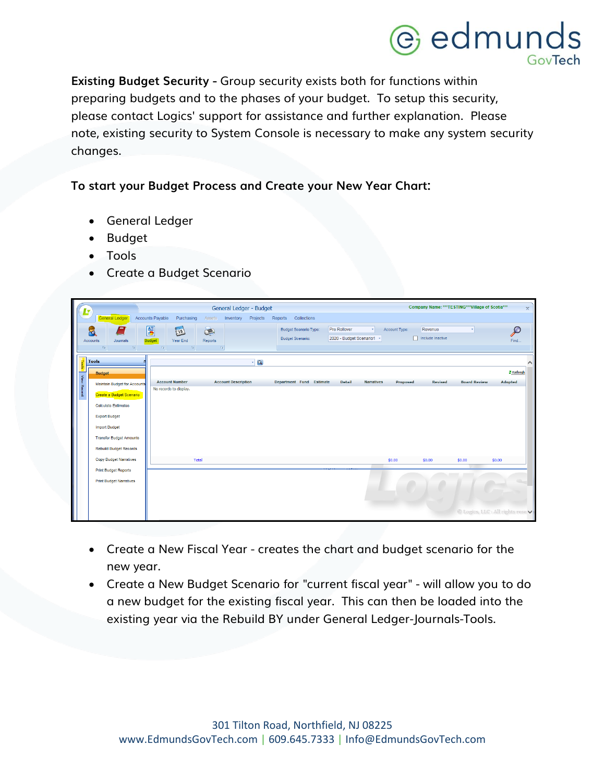### @ edmunds GovTech

**Existing Budget Security -** Group security exists both for functions within preparing budgets and to the phases of your budget. To setup this security, please contact Logics' support for assistance and further explanation. Please note, existing security to System Console is necessary to make any system security changes.

#### **To start your Budget Process and Create your New Year Chart:**

- General Ledger
- Budget
- Tools
- Create a Budget Scenario

|             |                                     |                        |            | General Ledger - Budget    |          |         |                              |                           |                   |               |                       | Company Name: *** TESTING*** Village of Scotia*** | $\mathbf{x}$                      |
|-------------|-------------------------------------|------------------------|------------|----------------------------|----------|---------|------------------------------|---------------------------|-------------------|---------------|-----------------------|---------------------------------------------------|-----------------------------------|
|             | General Ledger                      | Accounts Payable       | Purchasing | Assets<br>Inventory        | Projects | Reports | Collections                  |                           |                   |               |                       |                                                   |                                   |
|             | ۲d                                  | 6                      | 15         | Q                          |          |         | <b>Budget Scenario Type:</b> | Pre Rollover              | ٠                 | Account Type: | Revenue               |                                                   | $\mathcal{P}$                     |
|             | Accounts<br>Journals                | <b>Budget</b>          | Year End   | Reports                    |          |         | <b>Budget Scenario:</b>      | 2020 - Budget Scenario1 - |                   |               | n<br>Include Inactive |                                                   | Find.                             |
|             | <b>Fall</b><br>$\overline{12}$      | 房                      | $\sqrt{2}$ | $\Box$                     |          |         |                              |                           |                   |               |                       |                                                   |                                   |
| H           | <b>Tools</b>                        |                        |            |                            | $-9$     |         |                              |                           |                   |               |                       |                                                   |                                   |
|             | <b>Budget</b>                       |                        |            |                            |          |         |                              |                           |                   |               |                       |                                                   | 2 Refresh                         |
| View Recent | <b>Maintain Budget for Accounts</b> | <b>Account Number</b>  |            | <b>Account Description</b> |          |         | Department Fund Estimate     | <b>Detail</b>             | <b>Narratives</b> | Proposed      | <b>Revised</b>        | <b>Board Review</b>                               | Adopted                           |
|             | Create a Budget Scenario            | No records to display. |            |                            |          |         |                              |                           |                   |               |                       |                                                   |                                   |
|             | <b>Calculate Estimates</b>          |                        |            |                            |          |         |                              |                           |                   |               |                       |                                                   |                                   |
|             | <b>Export Budget</b>                |                        |            |                            |          |         |                              |                           |                   |               |                       |                                                   |                                   |
|             | <b>Import Budget</b>                |                        |            |                            |          |         |                              |                           |                   |               |                       |                                                   |                                   |
|             | <b>Transfer Budget Amounts</b>      |                        |            |                            |          |         |                              |                           |                   |               |                       |                                                   |                                   |
|             | <b>Rebuild Budget Records</b>       |                        |            |                            |          |         |                              |                           |                   |               |                       |                                                   |                                   |
|             | <b>Copy Budget Narratives</b>       |                        | Total      |                            |          |         |                              |                           |                   | \$0.00        | \$0.00                | \$0.00                                            | \$0.00                            |
|             | <b>Print Budget Reports</b>         |                        |            |                            |          |         |                              |                           |                   |               |                       |                                                   |                                   |
|             | <b>Print Budget Narratives</b>      |                        |            |                            |          |         |                              |                           |                   |               |                       |                                                   |                                   |
|             |                                     |                        |            |                            |          |         |                              |                           |                   |               |                       |                                                   |                                   |
|             |                                     |                        |            |                            |          |         |                              |                           |                   |               |                       |                                                   |                                   |
|             |                                     |                        |            |                            |          |         |                              |                           |                   |               |                       |                                                   | © Logics, LLC : All rights reserv |

- Create a New Fiscal Year creates the chart and budget scenario for the new year.
- Create a New Budget Scenario for "current fiscal year" will allow you to do a new budget for the existing fiscal year. This can then be loaded into the existing year via the Rebuild BY under General Ledger-Journals-Tools.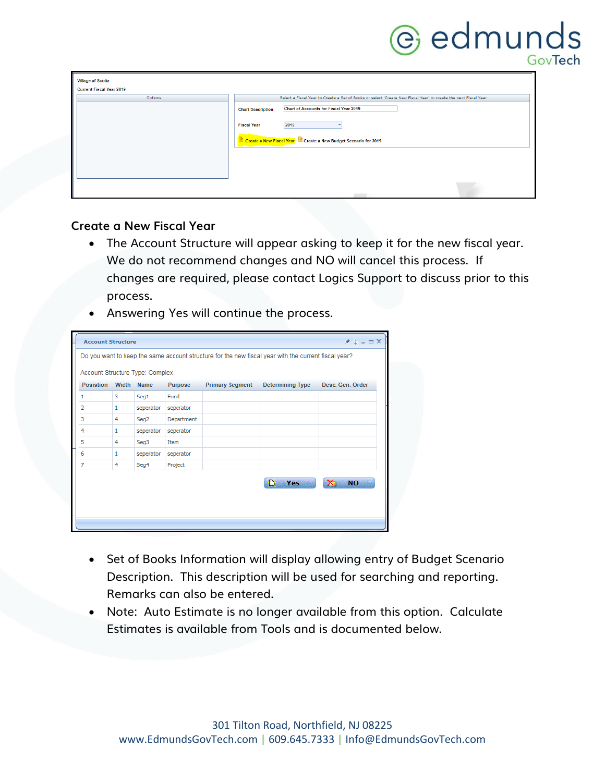## **C** edmunds

| <b>Village of Scotia</b>        |                                                                                                                 |
|---------------------------------|-----------------------------------------------------------------------------------------------------------------|
| <b>Current Fiscal Year 2019</b> |                                                                                                                 |
| Options                         | Select a Fiscal Year to Create a Set of Books or select 'Create New Fiscal Year' to create the next Fiscal Year |
|                                 | <b>Chart of Accounts for Fiscal Year 2019</b><br><b>Chart Description</b>                                       |
|                                 | 2019<br><b>Fiscal Year</b>                                                                                      |
|                                 | Create a New Fiscal Year <b>Create a New Budget Scenario for 2019</b>                                           |
|                                 |                                                                                                                 |
|                                 |                                                                                                                 |
|                                 |                                                                                                                 |
|                                 |                                                                                                                 |

#### **Create a New Fiscal Year**

- The Account Structure will appear asking to keep it for the new fiscal year. We do not recommend changes and NO will cancel this process. If changes are required, please contact Logics Support to discuss prior to this process.
- Answering Yes will continue the process.

| <b>Account Structure</b>                                                                             |       |           |            |                        |                         | $*$ $*$ $ =$ $\times$       |  |  |  |  |
|------------------------------------------------------------------------------------------------------|-------|-----------|------------|------------------------|-------------------------|-----------------------------|--|--|--|--|
| Do you want to keep the same account structure for the new fiscal year with the current fiscal year? |       |           |            |                        |                         |                             |  |  |  |  |
| Account Structure Type: Complex                                                                      |       |           |            |                        |                         |                             |  |  |  |  |
| <b>Posistion</b>                                                                                     | Width | Name      | Purpose    | <b>Primary Segment</b> | <b>Determining Type</b> | Desc. Gen. Order            |  |  |  |  |
| 1                                                                                                    | з     | Seg1      | Fund       |                        |                         |                             |  |  |  |  |
| 2                                                                                                    | 1     | seperator | seperator  |                        |                         |                             |  |  |  |  |
| 3                                                                                                    | 4     | Seg2      | Department |                        |                         |                             |  |  |  |  |
| 4                                                                                                    | 1     | seperator | seperator  |                        |                         |                             |  |  |  |  |
| 5                                                                                                    | 4     | Seg3      | Item       |                        |                         |                             |  |  |  |  |
| 6                                                                                                    | 1     | seperator | seperator  |                        |                         |                             |  |  |  |  |
| $\overline{7}$                                                                                       | 4     | Seq4      | Project    |                        |                         |                             |  |  |  |  |
|                                                                                                      |       |           |            |                        | 昏<br>Yes                | $\mathbf{x}_1$<br><b>NO</b> |  |  |  |  |

- Set of Books Information will display allowing entry of Budget Scenario Description. This description will be used for searching and reporting. Remarks can also be entered.
- Note: Auto Estimate is no longer available from this option. Calculate Estimates is available from Tools and is documented below.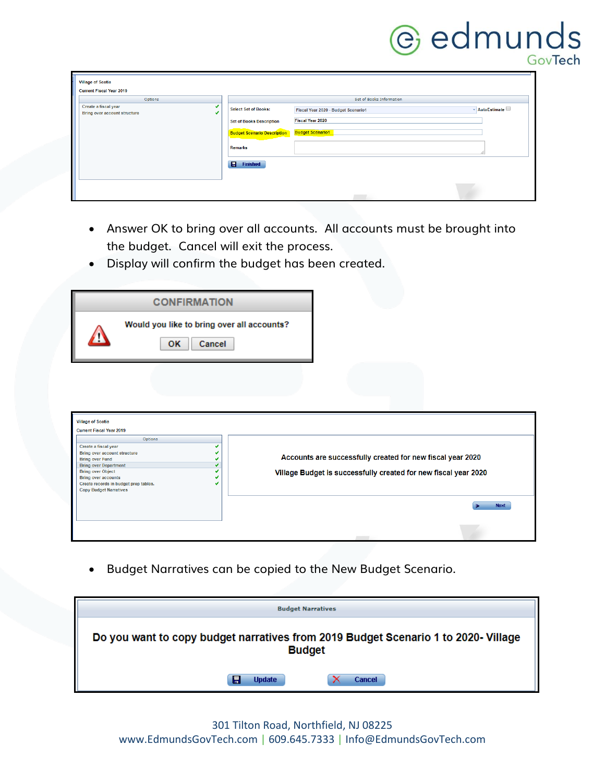# **C** edmunds

| <b>Village of Scotia</b><br><b>Current Fiscal Year 2019</b> |                                    |                                     |                |
|-------------------------------------------------------------|------------------------------------|-------------------------------------|----------------|
| Options                                                     |                                    | Set of Books Information            |                |
| Create a fiscal year<br><b>Bring over account structure</b> | <b>Select Set of Books:</b>        | Fiscal Year 2020 - Budget Scenario1 | - AutoEstimate |
|                                                             | <b>Set of Books Description</b>    | <b>Fiscal Year 2020</b>             |                |
|                                                             | <b>Budget Scenario Description</b> | <b>Budget Scenario1</b>             |                |
|                                                             | Remarks                            |                                     |                |
|                                                             | $\blacksquare$<br><b>Finished</b>  |                                     |                |
|                                                             |                                    |                                     |                |
|                                                             |                                    |                                     |                |

- Answer OK to bring over all accounts. All accounts must be brought into the budget. Cancel will exit the process.
- Display will confirm the budget has been created.

| <b>CONFIRMATION</b> |                                                            |  |  |  |  |  |  |  |  |
|---------------------|------------------------------------------------------------|--|--|--|--|--|--|--|--|
|                     | Would you like to bring over all accounts?<br>OΚ<br>Cancel |  |  |  |  |  |  |  |  |

| <b>Current Fiscal Year 2019</b>                                                        |                                                                 |
|----------------------------------------------------------------------------------------|-----------------------------------------------------------------|
| <b>Options</b><br>Create a fiscal year                                                 |                                                                 |
| Bring over account structure<br><b>Bring over Fund</b>                                 | Accounts are successfully created for new fiscal year 2020      |
| <b>Bring over Department</b><br><b>Bring over Object</b><br><b>Bring over accounts</b> | Village Budget is successfully created for new fiscal year 2020 |
| Create records in budget prep tables.<br><b>Copy Budget Narratives</b>                 |                                                                 |
|                                                                                        | <b>Next</b>                                                     |
|                                                                                        |                                                                 |

• Budget Narratives can be copied to the New Budget Scenario.

| <b>Budget Narratives</b>                                                                            |               |
|-----------------------------------------------------------------------------------------------------|---------------|
| Do you want to copy budget narratives from 2019 Budget Scenario 1 to 2020- Village<br><b>Budget</b> |               |
| Ħ<br><b>Update</b>                                                                                  | <b>Cancel</b> |

301 Tilton Road, Northfield, NJ 08225 www.EdmundsGovTech.com | 609.645.7333 | Info@EdmundsGovTech.com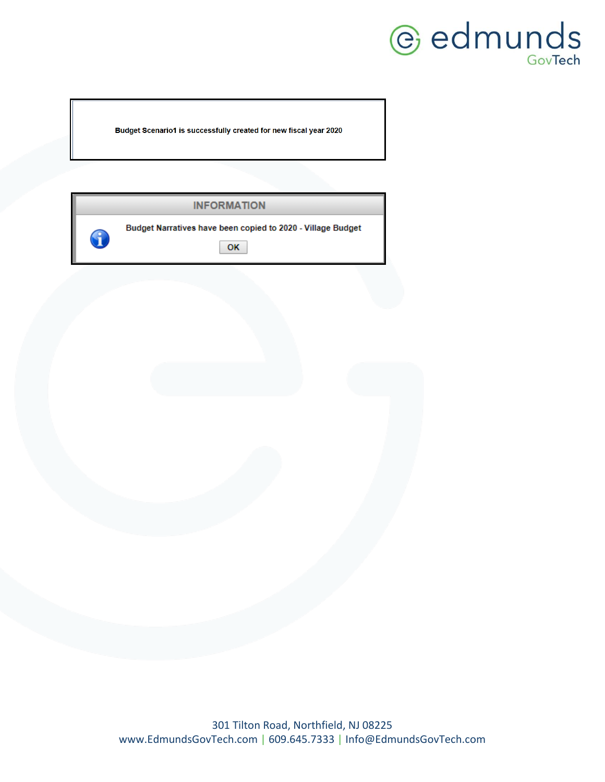

Budget Scenario1 is successfully created for new fiscal year 2020

|   | <b>INFORMATION</b>                                                |
|---|-------------------------------------------------------------------|
| 8 | Budget Narratives have been copied to 2020 - Village Budget<br>OK |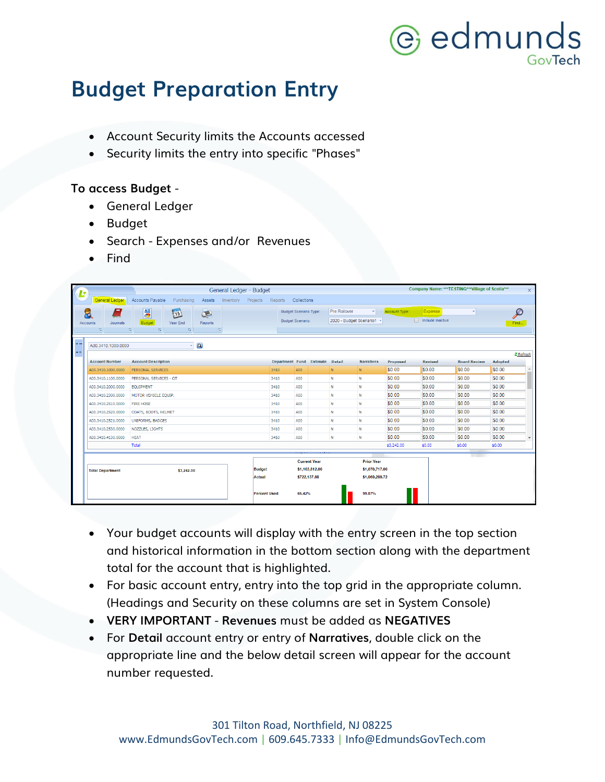## @ edmunds GovTech

### **Budget Preparation Entry**

- Account Security limits the Accounts accessed
- Security limits the entry into specific "Phases"

#### **To access Budget** -

- General Ledger
- Budget
- Search Expenses and/or Revenues
- Find

| ĿŢ                              |                               |                                                        | General Ledger - Budget |                                 |                              |              |                           |               |                 | Company Name: ***TESTING***Village of Scotia*** |         | $\times$                 |
|---------------------------------|-------------------------------|--------------------------------------------------------|-------------------------|---------------------------------|------------------------------|--------------|---------------------------|---------------|-----------------|-------------------------------------------------|---------|--------------------------|
|                                 | General Ledger                | Accounts Payable<br>Purchasing<br>Assets<br>Inventory  | Projects                | Reports                         | Collections                  |              |                           |               |                 |                                                 |         |                          |
|                                 | Ξ.<br>$\overline{\mathbf{b}}$ | 高<br>15<br>$\sum_{i=1}^{n}$                            |                         |                                 | <b>Budget Scenario Type:</b> | Pre Rollover | v.                        | Account Type: | Expense         |                                                 |         | ₽                        |
|                                 | Accounts<br>Journals          | Budget<br>Year End<br><b>Reports</b>                   |                         |                                 | <b>Budget Scenario:</b>      |              | 2020 - Budget Scenario1 * |               | nclude Inactive |                                                 |         | Find                     |
|                                 | $-5$<br>反                     | $\vert \overline{u} \vert$<br>$ E_0 $<br>$-\nabla\! g$ |                         |                                 |                              |              |                           |               |                 |                                                 |         |                          |
|                                 |                               |                                                        |                         |                                 |                              |              |                           |               |                 |                                                 |         |                          |
|                                 | A00.3410.1000.0000            | $\mathbf{Q}$<br>٠                                      |                         |                                 |                              |              |                           |               |                 |                                                 |         |                          |
| $\leftrightarrow$ $\Rightarrow$ |                               |                                                        |                         |                                 |                              |              |                           |               |                 |                                                 |         | 2 Refresh                |
|                                 | <b>Account Number</b>         | <b>Account Description</b>                             |                         | Department Fund Estimate Detail |                              |              | <b>Narratives</b>         | Proposed      | <b>Revised</b>  | <b>Board Review</b>                             | Adopted |                          |
|                                 | A00.3410.1000.0000            | PERSONAL SERVICES                                      |                         | 3410                            | A00                          | N            | N                         | <b>SO.00</b>  | \$0.00          | \$0.00                                          | \$0.00  |                          |
|                                 | A00.3410.1100.0000            | PERSONAL SERVICES - OT                                 |                         | 3410                            | A00                          | N            | ${\sf N}$                 | \$0.00        | \$0.00          | \$0.00                                          | \$0.00  |                          |
|                                 | A00.3410.2000.0000            | <b>EQUIPMENT</b>                                       |                         | 3410                            | A00                          | N            | $\mathbb{N}$              | \$0.00        | \$0.00          | \$0.00                                          | \$0.00  |                          |
|                                 | A00.3410.2300.0000            | MOTOR VEHICLE EQUIP.                                   |                         | 3410                            | A00                          | N            | $\mathbf N$               | \$0.00        | \$0.00          | \$0.00                                          | \$0.00  |                          |
|                                 | A00.3410.2510.0000            | <b>FIRE HOSE</b>                                       |                         | 3410                            | A00                          | N            | $\mathbb{N}$              | \$0.00        | \$0.00          | \$0.00                                          | \$0.00  |                          |
|                                 | A00.3410.2520.0000            | COATS, BOOTS, HELMET                                   |                         | 3410                            | A00                          | N            | ${\sf N}$                 | \$0.00        | \$0.00          | \$0.00                                          | \$0.00  |                          |
|                                 | A00.3410.2521.0000            | UNIFORMS, BADGES                                       |                         | 3410                            | A00                          | N            | N                         | \$0.00        | \$0.00          | \$0.00                                          | \$0.00  |                          |
|                                 | A00.3410.2530.0000            | NOZZLES, LIGHTS                                        |                         | 3410                            | A00                          | N            | N                         | \$0.00        | \$0.00          | \$0.00                                          | \$0.00  |                          |
|                                 | A00.3410.4130.0000            | <b>HEAT</b>                                            |                         | 3410                            | A00                          | N            | N                         | \$0.00        | \$0.00          | \$0.00                                          | \$0.00  | $\overline{\phantom{a}}$ |
|                                 |                               | Total                                                  |                         |                                 |                              |              |                           | \$3,242.00    | \$0.00          | \$0.00                                          | \$0.00  |                          |
|                                 |                               |                                                        |                         |                                 |                              |              |                           |               |                 |                                                 |         |                          |
|                                 |                               |                                                        |                         |                                 | <b>Current Year</b>          |              | <b>Prior Year</b>         |               |                 |                                                 |         |                          |
|                                 | <b>Total Department</b>       | \$3,242.00                                             | <b>Budget</b>           |                                 | \$1.103.812.00               |              | \$1,070,717.00            |               |                 |                                                 |         |                          |
|                                 |                               |                                                        | Actual                  |                                 | \$722,137.98                 |              | \$1,069,289.72            |               |                 |                                                 |         |                          |
|                                 |                               |                                                        |                         |                                 |                              |              |                           |               |                 |                                                 |         |                          |
|                                 |                               |                                                        | <b>Percent Used</b>     |                                 | 65.42%                       |              | 99.87%                    |               |                 |                                                 |         |                          |
|                                 |                               |                                                        |                         |                                 |                              |              |                           |               |                 |                                                 |         |                          |

- Your budget accounts will display with the entry screen in the top section and historical information in the bottom section along with the department total for the account that is highlighted.
- For basic account entry, entry into the top grid in the appropriate column. (Headings and Security on these columns are set in System Console)
- **VERY IMPORTANT Revenues** must be added as **NEGATIVES**
- For **Detail** account entry or entry of **Narratives**, double click on the appropriate line and the below detail screen will appear for the account number requested.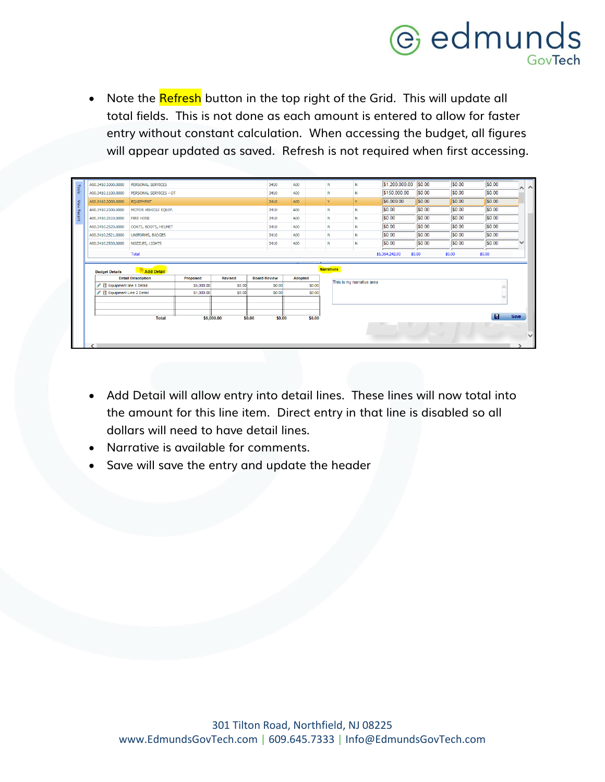

Note the <mark>Refresh</mark> button in the top right of the Grid. This will update all total fields. This is not done as each amount is entered to allow for faster entry without constant calculation. When accessing the budget, all figures will appear updated as saved. Refresh is not required when first accessing.

|     |                             | <b>Total</b>                            |                 | \$6,000.00     | \$0.00<br>\$0.00    |                | \$0.00            |                           |                       |        |        | H      | Save<br>$\checkmark$ |
|-----|-----------------------------|-----------------------------------------|-----------------|----------------|---------------------|----------------|-------------------|---------------------------|-----------------------|--------|--------|--------|----------------------|
|     |                             |                                         |                 |                |                     |                |                   |                           |                       |        |        |        |                      |
|     | Equipment Line 2 Detail     |                                         | \$1,000.00      | S0.00          | \$0.00              |                | \$0.00            |                           |                       |        |        |        |                      |
|     | ▶ 前 Equipment line 1 Detail |                                         | \$5,000.00      | S0.00          | <b>SO.00</b>        |                | S0.00             |                           |                       |        |        |        |                      |
|     | <b>Budget Details</b>       | Add Detail<br><b>Detail Description</b> | <b>Proposed</b> | <b>Revised</b> | <b>Board Review</b> | <b>Adopted</b> | <b>Narratives</b> | This is my narrative area |                       |        |        |        |                      |
|     |                             | Total                                   |                 |                |                     |                |                   |                           | \$1,364,242.00        | \$0.00 | \$0.00 | \$0.00 |                      |
|     | A00.3410.2530.0000          | NOZZLES, LIGHTS                         |                 |                | 3410                | A00            | N                 | N                         | \$0.00                | \$0.00 | \$0.00 | \$0.00 |                      |
|     | A00.3410.2521.0000          | <b>UNIFORMS, BADGES</b>                 |                 |                | 3410                | A00            | N                 | N                         | \$0.00                | \$0.00 | \$0.00 | \$0.00 |                      |
|     | A00.3410.2520.0000          | COATS, BOOTS, HELMET                    |                 |                | 3410                | A00            | N                 | N                         | \$0.00                | \$0.00 | \$0.00 | \$0.00 |                      |
|     | A00.3410.2510.0000          | <b>FIRE HOSE</b>                        |                 |                | 3410                | A00            | N                 | N                         | \$0.00                | \$0.00 | \$0.00 | \$0.00 |                      |
|     | A00.3410.2300.0000          | MOTOR VEHICLE EQUIP.                    |                 |                | 3410                | A00            | Ν                 | N                         | \$0.00                | \$0.00 | \$0.00 | \$0.00 |                      |
|     | A00.3410.2000.0000          | EQUIPMENT                               |                 |                | 3410                | A00            | Ÿ                 | Y                         | \$6,000.00            | \$0.00 | \$0.00 | \$0.00 |                      |
|     | A00.3410.1100.0000          | PERSONAL SERVICES - OT                  |                 |                | 3410                | A00            | N                 | N                         | \$150,000.00          | \$0.00 | \$0.00 | \$0.00 | $\sim$               |
| - 5 | A00.3410.1000.0000          | PERSONAL SERVICES                       |                 |                | 3410                | A00            | N                 | N                         | \$1,200,000.00 \$0.00 |        | \$0.00 | \$0.00 |                      |

- Add Detail will allow entry into detail lines. These lines will now total into the amount for this line item. Direct entry in that line is disabled so all dollars will need to have detail lines.
- Narrative is available for comments.
- Save will save the entry and update the header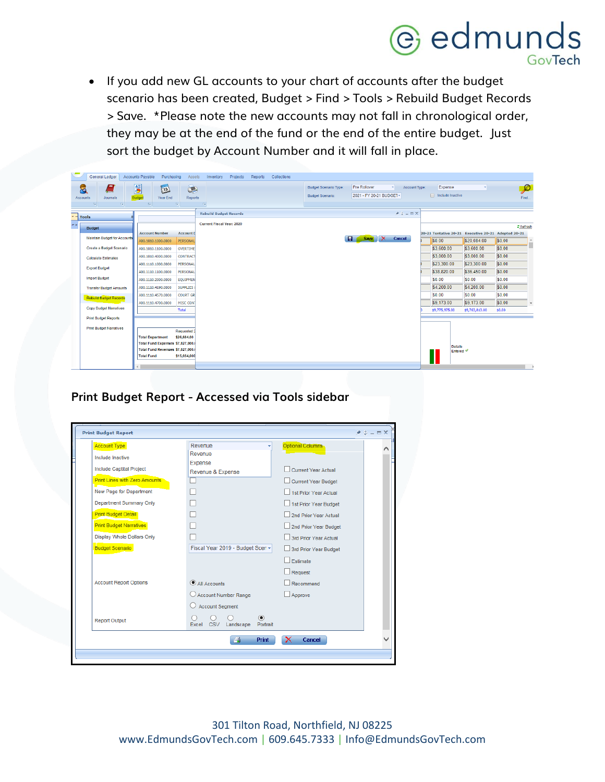## **C** edmunds

• If you add new GL accounts to your chart of accounts after the budget scenario has been created, Budget > Find > Tools > Rebuild Budget Records > Save. \*Please note the new accounts may not fall in chronological order, they may be at the end of the fund or the end of the entire budget. Just sort the budget by Account Number and it will fall in place.

|                             | General Ledger                                                          | Accounts Payable<br>Purchasing<br>Assets                                                | Projects<br>Reports<br>Collections<br>Inventory |                                                                                                                                   |                                        |                                                                  |
|-----------------------------|-------------------------------------------------------------------------|-----------------------------------------------------------------------------------------|-------------------------------------------------|-----------------------------------------------------------------------------------------------------------------------------------|----------------------------------------|------------------------------------------------------------------|
|                             | Ξ<br>8<br>Journals<br>Accounts<br>$\sqrt{2}$<br>$\overline{\mathbb{R}}$ | 6<br>Q<br>$\boxed{15}$<br><b>Budge</b><br>Year End<br><b>Reports</b><br>$\sqrt{2}$<br>長 | $\sqrt{3}$                                      | <b>Pre Rollover</b><br><b>Budget Scenario Type:</b><br>Account Type:<br>۰ı<br>2021 - FY 20-21 BUDGET *<br><b>Budget Scenario:</b> | Expense<br>Include Inactive            | $\boldsymbol{\mathcal{P}}$<br>Find                               |
| w.                          |                                                                         |                                                                                         | <b>Rebuild Budget Records</b>                   | $*$ $*$ $ =$ $\times$                                                                                                             |                                        |                                                                  |
| $\rightarrow$ $\rightarrow$ | <b>Tools</b>                                                            |                                                                                         | <b>Current Fiscal Year: 2020</b>                |                                                                                                                                   |                                        |                                                                  |
|                             | Budget                                                                  | <b>Account Number</b><br><b>Account I</b>                                               |                                                 |                                                                                                                                   |                                        | 2 Refresh<br>20-21 Tentative 20-21 Executive 20-21 Adopted 20-21 |
|                             | Maintain Budget for Accounts                                            | A00.1010.1000.0000<br>PERSONAL                                                          |                                                 | $\mathbf{X}$<br>81<br>Save<br>Cancel                                                                                              | \$0.00                                 | \$0.00<br>\$20.084.00<br>$\Delta$                                |
|                             | Create a Budget Scenario                                                | A00.1010.1100.0000<br>OVERTIME                                                          |                                                 |                                                                                                                                   | \$3,600.00                             | \$0.00<br>\$3,600.00                                             |
|                             | <b>Calculate Estimates</b>                                              | <b>CONTRACT</b><br>A00.1010.4000.0000                                                   |                                                 |                                                                                                                                   | \$3,000.00                             | \$0.00<br>\$3,000.00                                             |
|                             | <b>Export Budget</b>                                                    | A00.1110.1000.0000<br>PERSONAL                                                          |                                                 |                                                                                                                                   | \$23,300.00                            | \$0.00<br>\$23,300.00                                            |
|                             | <b>Import Budget</b>                                                    | PERSONAL<br>A00.1110.1100.0000<br>A00.1110.2000.0000<br><b>EQUIPMEN</b>                 |                                                 |                                                                                                                                   | \$38,820.00<br>\$0.00                  | \$0.00<br>\$36,450.00<br>\$0.00<br>\$0.00                        |
|                             | <b>Transfer Budget Amounts</b>                                          | A00.1110.4190.0000<br><b>SUPPLIES</b>                                                   |                                                 |                                                                                                                                   | \$4,200.00                             | \$0.00<br>\$4,200.00                                             |
|                             | <b>Rebuild Budget Records</b>                                           | <b>COURT GR</b><br>A00.1110.4570.0000                                                   |                                                 |                                                                                                                                   | \$0.00                                 | \$0.00<br>\$0.00                                                 |
|                             |                                                                         | <b>MISC CON</b><br>A00.1110.4700.0000                                                   |                                                 |                                                                                                                                   | \$9,173.00                             | \$0.00<br>\$9,173.00<br>$\overline{\phantom{a}}$                 |
|                             | <b>Copy Budget Narratives</b>                                           | Total                                                                                   |                                                 |                                                                                                                                   | \$9,775,975.00                         | \$9,763,813.00<br>\$0.00                                         |
|                             | <b>Print Budget Reports</b>                                             |                                                                                         |                                                 |                                                                                                                                   |                                        |                                                                  |
|                             | <b>Print Budget Narratives</b>                                          | Requested 2                                                                             |                                                 |                                                                                                                                   |                                        |                                                                  |
|                             |                                                                         | \$26,684.00<br><b>Total Department</b>                                                  |                                                 |                                                                                                                                   |                                        |                                                                  |
|                             |                                                                         | Total Fund Expenses \$7,827,000.<br>Total Fund Revenues \$7,827,000.                    |                                                 |                                                                                                                                   | <b>Details</b><br>Entered $\heartsuit$ |                                                                  |
|                             |                                                                         | <b>Total Fund</b><br>\$15,654,000                                                       |                                                 |                                                                                                                                   |                                        |                                                                  |
|                             |                                                                         |                                                                                         |                                                 |                                                                                                                                   |                                        |                                                                  |

**Print Budget Report - Accessed via Tools sidebar**

| <b>Print Budget Report</b>           |                                              | $*$ $*$ $  *$                   |  |  |
|--------------------------------------|----------------------------------------------|---------------------------------|--|--|
| <b>Account Type</b>                  | Revenue                                      | <b>Optional Columns</b>         |  |  |
| Include Inactive                     | Revenue                                      |                                 |  |  |
| <b>Include Captital Project</b>      | Expense<br>Revenue & Expense                 | Current Year Actual             |  |  |
| <b>Print Lines with Zero Amounts</b> |                                              | <b>Current Year Budget</b>      |  |  |
| New Page for Department              |                                              | 1st Prior Year Actual           |  |  |
| <b>Department Summary Only</b>       |                                              | 1st Prior Year Budget           |  |  |
| <b>Print Budget Detail</b>           |                                              | 2nd Prior Year Actual           |  |  |
| <b>Print Budget Narratives</b>       |                                              | 2nd Prior Year Budget           |  |  |
| <b>Display Whole Dollars Only</b>    |                                              | 3rd Prior Year Actual           |  |  |
| <b>Budget Scenario</b>               | Fiscal Year 2019 - Budget Scen -             | 3rd Prior Year Budget           |  |  |
|                                      |                                              | <b>Estimate</b>                 |  |  |
|                                      |                                              | Request                         |  |  |
| <b>Account Report Options</b>        | All Accounts                                 | Recommend                       |  |  |
|                                      | Account Number Range                         | Approve                         |  |  |
|                                      | <b>Account Segment</b>                       |                                 |  |  |
| <b>Report Output</b>                 | <b>CSV</b><br>Landscape<br>Portrait<br>Excel |                                 |  |  |
|                                      | <b>Print</b><br>昌                            | $\boldsymbol{\times}$<br>Cancel |  |  |
|                                      |                                              |                                 |  |  |